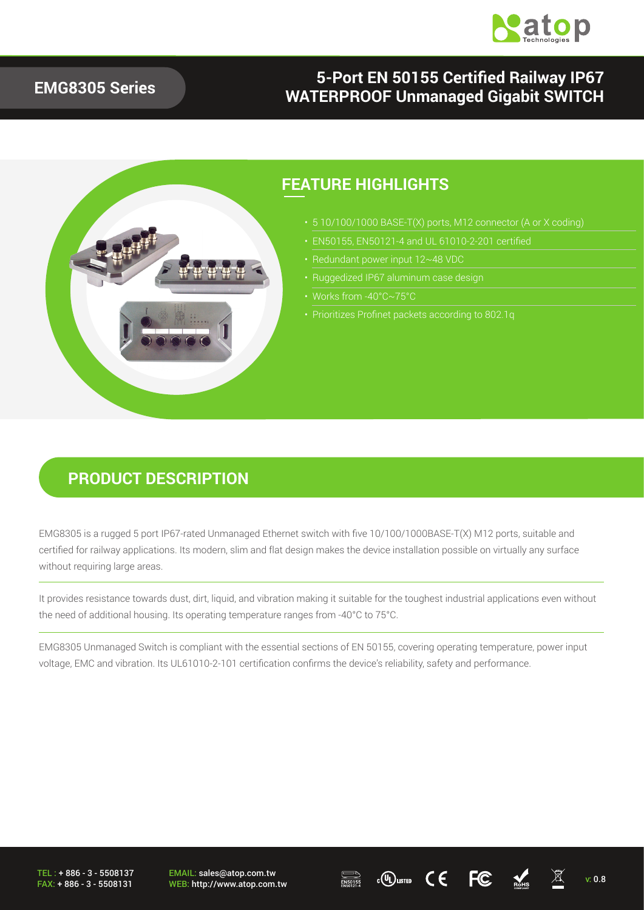

#### **EMG8305 Series**

### **5-Port EN 50155 Certified Railway IP67 WATERPROOF Unmanaged Gigabit SWITCH**



#### **FEATURE HIGHLIGHTS**

- 
- 
- 
- Ruggedized IP67 aluminum case design
- 
- 

### **PRODUCT DESCRIPTION**

EMG8305 is a rugged 5 port IP67-rated Unmanaged Ethernet switch with five 10/100/1000BASE-T(X) M12 ports, suitable and certified for railway applications. Its modern, slim and flat design makes the device installation possible on virtually any surface without requiring large areas.

It provides resistance towards dust, dirt, liquid, and vibration making it suitable for the toughest industrial applications even without the need of additional housing. Its operating temperature ranges from -40°C to 75°C.

EMG8305 Unmanaged Switch is compliant with the essential sections of EN 50155, covering operating temperature, power input voltage, EMC and vibration. Its UL61010-2-101 certification confirms the device's reliability, safety and performance.

TEL : + 886 - 3 - 5508137 FAX: + 886 - 3 - 5508131

EMAIL: sales@atop.com.tw EMAIL: sales@atop.com.tw  $\overline{\text{RMS}}$  c(U) uster  $\text{C}\text{C}$  FC  $\overline{\text{MMS}}$  v: 0.8

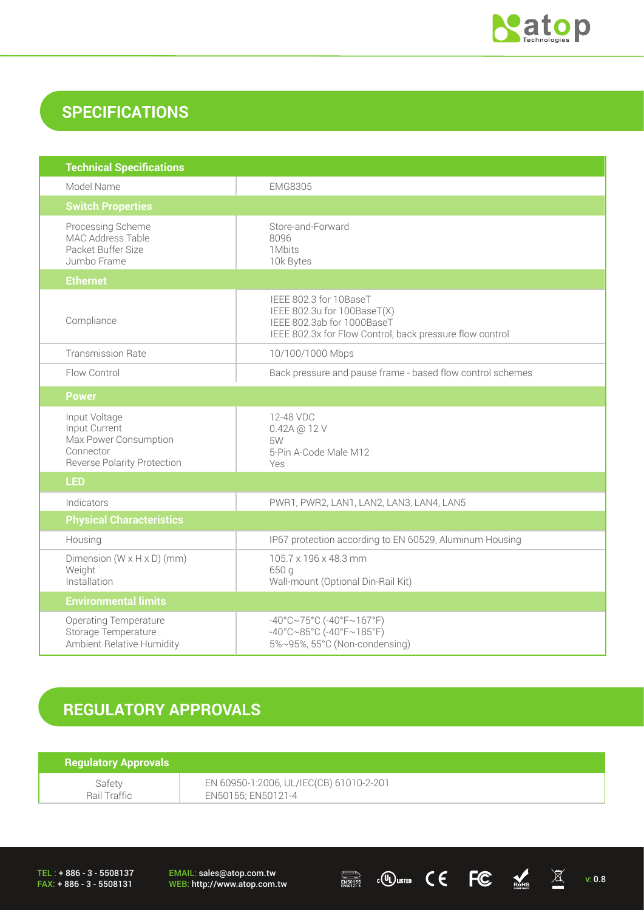

### **SPECIFICATIONS**

| <b>Technical Specifications</b>                                                                            |                                                                                                                                                 |
|------------------------------------------------------------------------------------------------------------|-------------------------------------------------------------------------------------------------------------------------------------------------|
| Model Name                                                                                                 | <b>EMG8305</b>                                                                                                                                  |
| <b>Switch Properties</b>                                                                                   |                                                                                                                                                 |
| Processing Scheme<br>MAC Address Table<br>Packet Buffer Size<br>Jumbo Frame                                | Store-and-Forward<br>8096<br>1Mbits<br>10k Bytes                                                                                                |
| <b>Ethernet</b>                                                                                            |                                                                                                                                                 |
| Compliance                                                                                                 | IEEE 802.3 for 10BaseT<br>IEEE 802.3u for 100BaseT(X)<br>IEEE 802.3ab for 1000BaseT<br>IEEE 802.3x for Flow Control, back pressure flow control |
| <b>Transmission Rate</b>                                                                                   | 10/100/1000 Mbps                                                                                                                                |
| Flow Control                                                                                               | Back pressure and pause frame - based flow control schemes                                                                                      |
| <b>Power</b>                                                                                               |                                                                                                                                                 |
| Input Voltage<br>Input Current<br>Max Power Consumption<br>Connector<br><b>Reverse Polarity Protection</b> | 12-48 VDC<br>0.42A @ 12 V<br>5W<br>5-Pin A-Code Male M12<br>Yes                                                                                 |
| <b>LED</b>                                                                                                 |                                                                                                                                                 |
| Indicators                                                                                                 | PWR1, PWR2, LAN1, LAN2, LAN3, LAN4, LAN5                                                                                                        |
| <b>Physical Characteristics</b>                                                                            |                                                                                                                                                 |
| Housing                                                                                                    | IP67 protection according to EN 60529, Aluminum Housing                                                                                         |
| Dimension $(W \times H \times D)$ (mm)<br>Weight<br>Installation                                           | 105.7 x 196 x 48.3 mm<br>650 g<br>Wall-mount (Optional Din-Rail Kit)                                                                            |
| <b>Environmental limits</b>                                                                                |                                                                                                                                                 |
| <b>Operating Temperature</b><br>Storage Temperature<br>Ambient Relative Humidity                           | $-40^{\circ}$ C $\sim$ 75°C (-40°F $\sim$ 167°F)<br>$-40^{\circ}$ C $\sim$ 85°C (-40°F $\sim$ 185°F)<br>5%~95%, 55°C (Non-condensing)           |

## **REGULATORY APPROVALS**

| <b>Regulatory Approvals</b> |                                         |
|-----------------------------|-----------------------------------------|
| Safety                      | EN 60950-1:2006, UL/IEC(CB) 61010-2-201 |
| Rail Traffic                | EN50155; EN50121-4                      |

TEL : + 886 - 3 - 5508137 FAX: + 886 - 3 - 5508131

EMAIL: sales@atop.com.tw<br>WEB: http://www.atop.com.tw

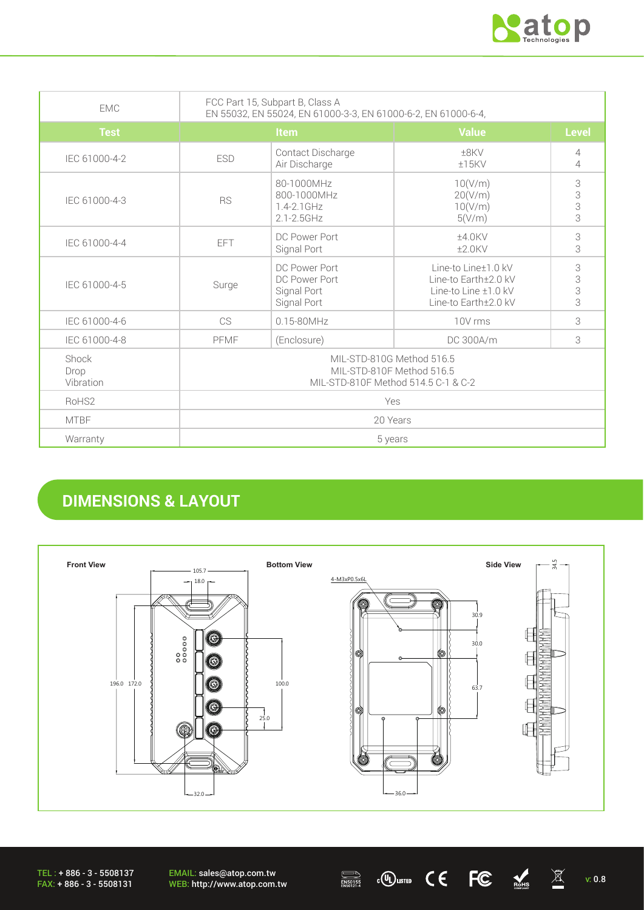

| <b>FMC</b>                 | FCC Part 15, Subpart B, Class A<br>EN 55032, EN 55024, EN 61000-3-3, EN 61000-6-2, EN 61000-6-4, |                                                                 |                                                                                                  |                  |
|----------------------------|--------------------------------------------------------------------------------------------------|-----------------------------------------------------------------|--------------------------------------------------------------------------------------------------|------------------|
| <b>Test</b>                | <b>Item</b>                                                                                      |                                                                 | <b>Value</b>                                                                                     | <b>Level</b>     |
| IEC 61000-4-2              | <b>ESD</b>                                                                                       | Contact Discharge<br>Air Discharge                              | $+8$ KV<br>$±15$ KV                                                                              | 4<br>4           |
| IEC 61000-4-3              | <b>RS</b>                                                                                        | 80-1000MHz<br>800-1000MHz<br>$1.4 - 2.1$ GHz<br>$2.1 - 2.5$ GHz | 10(V/m)<br>20(V/m)<br>10(V/m)<br>5(V/m)                                                          | 3<br>3<br>3<br>3 |
| IEC 61000-4-4              | FFT                                                                                              | DC Power Port<br>Signal Port                                    | $±4.0$ KV<br>$±2.0$ KV                                                                           | 3<br>3           |
| IEC 61000-4-5              | Surge                                                                                            | DC Power Port<br>DC Power Port<br>Signal Port<br>Signal Port    | Line-to Line±1.0 kV<br>Line-to Earth±2.0 kV<br>Line-to Line $\pm 1.0$ kV<br>Line-to Earth±2.0 kV | 3<br>3<br>3<br>3 |
| IEC 61000-4-6              | <b>CS</b>                                                                                        | $0.15 - 80$ MHz                                                 | 10V rms                                                                                          | 3                |
| IEC 61000-4-8              | PFMF                                                                                             | (Enclosure)                                                     | DC 300A/m                                                                                        | 3                |
| Shock<br>Drop<br>Vibration | MIL-STD-810G Method 516.5<br>MIL-STD-810F Method 516.5<br>MIL-STD-810F Method 514.5 C-1 & C-2    |                                                                 |                                                                                                  |                  |
| RoHS <sub>2</sub>          | Yes                                                                                              |                                                                 |                                                                                                  |                  |
| <b>MTBF</b>                | 20 Years                                                                                         |                                                                 |                                                                                                  |                  |
| Warranty                   | 5 years                                                                                          |                                                                 |                                                                                                  |                  |

## **DIMENSIONS & LAYOUT**



EMAIL: sales@atop.com.tw EMAIL: sales@atop.com.tw  $\overline{\text{MSOHS}}$  computed  $\text{C}$   $\text{C}$   $\text{C}$   $\text{C}$   $\text{C}$   $\text{C}$   $\text{C}$   $\text{C}$   $\text{C}$   $\text{C}$   $\text{C}$   $\text{C}$   $\text{C}$   $\text{C}$   $\text{C}$   $\text{C}$   $\text{C}$   $\text{C}$   $\text{C}$   $\text{C}$   $\text{C}$   $\text{C}$